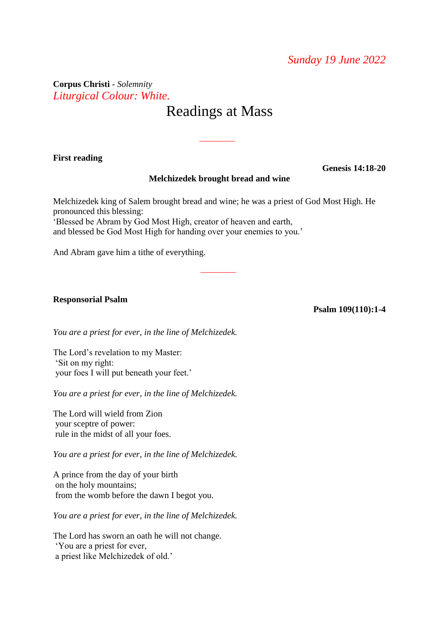**Corpus Christi** *- Solemnity* ● *Liturgical Colour: White.*

# Readings at Mass

\_\_\_\_\_\_\_\_

## **First reading**

## **Melchizedek brought bread and wine**

Melchizedek king of Salem brought bread and wine; he was a priest of God Most High. He pronounced this blessing: 'Blessed be Abram by God Most High, creator of heaven and earth,

\_\_\_\_\_\_\_\_

and blessed be God Most High for handing over your enemies to you.'

And Abram gave him a tithe of everything.

#### **Responsorial Psalm**

**Psalm 109(110):1-4**

**Genesis 14:18-20**

*You are a priest for ever, in the line of Melchizedek.*

The Lord's revelation to my Master: 'Sit on my right: your foes I will put beneath your feet.'

*You are a priest for ever, in the line of Melchizedek.*

The Lord will wield from Zion your sceptre of power: rule in the midst of all your foes.

*You are a priest for ever, in the line of Melchizedek.*

A prince from the day of your birth on the holy mountains; from the womb before the dawn I begot you.

*You are a priest for ever, in the line of Melchizedek.*

The Lord has sworn an oath he will not change. 'You are a priest for ever, a priest like Melchizedek of old.'